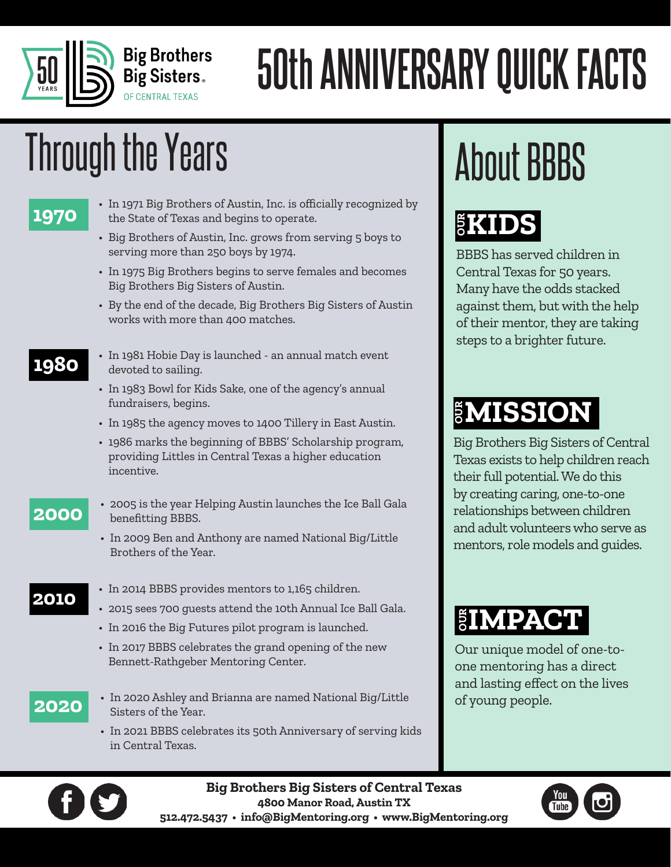

# **50th ANNIVERSARY QUICK FACTS**

# Through the Years **About BBBS**

- In 1971 Big Brothers of Austin, Inc. is officially recognized by<br>**1970** the State of Texas and begins to operate. the State of Texas and begins to operate.
	- Big Brothers of Austin, Inc. grows from serving 5 boys to serving more than 250 boys by 1974.
	- In 1975 Big Brothers begins to serve females and becomes Big Brothers Big Sisters of Austin.
	- By the end of the decade, Big Brothers Big Sisters of Austin works with more than 400 matches.
- <sup>•</sup> In 1981 Hobie Day is launched an annual match event<br>devoted to sailing. devoted to sailing.
	- In 1983 Bowl for Kids Sake, one of the agency's annual fundraisers, begins.
	- In 1985 the agency moves to 1400 Tillery in East Austin.
	- 1986 marks the beginning of BBBS' Scholarship program, providing Littles in Central Texas a higher education incentive.

- <sup>•</sup> 2005 is the year Helping Austin launches the Ice Ball Gala<br>**2000 benefitting BBBS** benefitting BBBS.
	- In 2009 Ben and Anthony are named National Big/Little Brothers of the Year.

- **2010** In 2014 BBBS provides mentors to 1,165 children.
	- 2015 sees 700 guests attend the 10th Annual Ice Ball Gala.
	- In 2016 the Big Futures pilot program is launched.
	- In 2017 BBBS celebrates the grand opening of the new Bennett-Rathgeber Mentoring Center.

- **2020** In 2020 Ashley and Brianna are named National Big/Little Sisters of the Year.
	- In 2021 BBBS celebrates its 50th Anniversary of serving kids in Central Texas.

## $\S$ **KIDS**

BBBS has served children in Central Texas for 50 years. Many have the odds stacked against them, but with the help of their mentor, they are taking steps to a brighter future.

Big Brothers Big Sisters of Central Texas exists to help children reach their full potential. We do this by creating caring, one-to-one relationships between children and adult volunteers who serve as **MISSION**<br>Big Brothers Big Sisters of Centra<br>Texas exists to help children reac<br>their full potential. We do this<br>by creating caring, one-to-one<br>relationships between children<br>and adult volunteers who serve as<br>mentors, role

## **SIMPACT**

Our unique model of one-toone mentoring has a direct and lasting effect on the lives of young people.



**Big Brothers Big Sisters of Central Texas 4800 Manor Road, Austin TX 512.472.5437 • info@BigMentoring.org • www.BigMentoring.org**